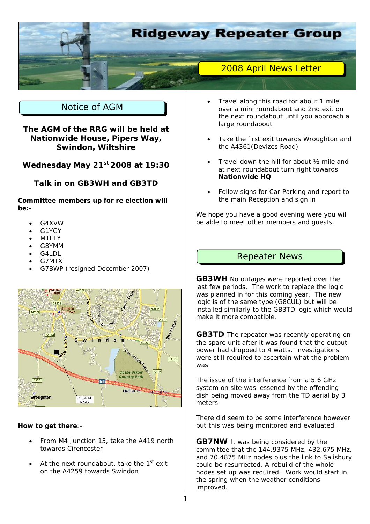

# Notice of AGM

**The AGM of the RRG will be held at Nationwide House, Pipers Way, Swindon, Wiltshire** 

**Wednesday May 21st 2008 at 19:30** 

### **Talk in on GB3WH and GB3TD**

**Committee members up for re election will be:-** 

- G4XVW
- G1YGY
- M1EFY
- G8YMM
- G4LDL
- G7MTX
- G7BWP (resigned December 2007)



#### **How to get there**:-

- From M4 Junction 15, take the A419 north towards Cirencester
- At the next roundabout, take the  $1<sup>st</sup>$  exit on the A4259 towards Swindon
- Travel along this road for about 1 mile over a mini roundabout and 2nd exit on the next roundabout until you approach a large roundabout
- Take the first exit towards Wroughton and the A4361(Devizes Road)
- Travel down the hill for about 1/2 mile and at next roundabout turn right towards **Nationwide HQ**
- Follow signs for Car Parking and report to the main Reception and sign in

We hope you have a good evening were you will be able to meet other members and guests.

# Repeater News

**GB3WH** No outages were reported over the last few periods. The work to replace the logic was planned in for this coming year. The new logic is of the same type (G8CUL) but will be installed similarly to the GB3TD logic which would make it more compatible.

**GB3TD** The repeater was recently operating on the spare unit after it was found that the output power had dropped to 4 watts. Investigations were still required to ascertain what the problem was.

The issue of the interference from a 5.6 GHz system on site was lessened by the offending dish being moved away from the TD aerial by 3 meters.

There did seem to be some interference however but this was being monitored and evaluated.

**GB7NW** It was being considered by the committee that the 144.9375 MHz, 432.675 MHz, and 70.4875 MHz nodes plus the link to Salisbury could be resurrected. A rebuild of the whole nodes set up was required. Work would start in the spring when the weather conditions improved.